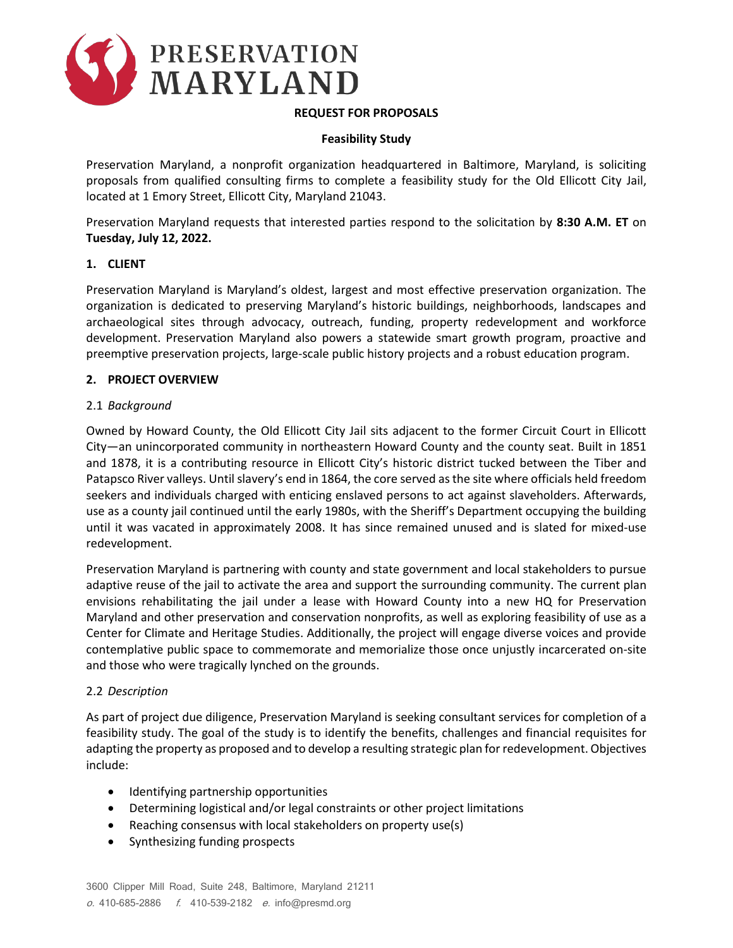

## **REQUEST FOR PROPOSALS**

## **Feasibility Study**

Preservation Maryland, a nonprofit organization headquartered in Baltimore, Maryland, is soliciting proposals from qualified consulting firms to complete a feasibility study for the Old Ellicott City Jail, located at 1 Emory Street, Ellicott City, Maryland 21043.

Preservation Maryland requests that interested parties respond to the solicitation by **8:30 A.M. ET** on **Tuesday, July 12, 2022.**

### **1. CLIENT**

Preservation Maryland is Maryland's oldest, largest and most effective preservation organization. The organization is dedicated to preserving Maryland's historic buildings, neighborhoods, landscapes and archaeological sites through advocacy, outreach, funding, property redevelopment and workforce development. Preservation Maryland also powers a statewide smart growth program, proactive and preemptive preservation projects, large-scale public history projects and a robust education program.

### **2. PROJECT OVERVIEW**

## 2.1 *Background*

Owned by Howard County, the Old Ellicott City Jail sits adjacent to the former Circuit Court in Ellicott City—an unincorporated community in northeastern Howard County and the county seat. Built in 1851 and 1878, it is a contributing resource in Ellicott City's historic district tucked between the Tiber and Patapsco River valleys. Until slavery's end in 1864, the core served as the site where officials held freedom seekers and individuals charged with enticing enslaved persons to act against slaveholders. Afterwards, use as a county jail continued until the early 1980s, with the Sheriff's Department occupying the building until it was vacated in approximately 2008. It has since remained unused and is slated for mixed-use redevelopment.

Preservation Maryland is partnering with county and state government and local stakeholders to pursue adaptive reuse of the jail to activate the area and support the surrounding community. The current plan envisions rehabilitating the jail under a lease with Howard County into a new HQ for Preservation Maryland and other preservation and conservation nonprofits, as well as exploring feasibility of use as a Center for Climate and Heritage Studies. Additionally, the project will engage diverse voices and provide contemplative public space to commemorate and memorialize those once unjustly incarcerated on-site and those who were tragically lynched on the grounds.

## 2.2 *Description*

As part of project due diligence, Preservation Maryland is seeking consultant services for completion of a feasibility study. The goal of the study is to identify the benefits, challenges and financial requisites for adapting the property as proposed and to develop a resulting strategic plan for redevelopment. Objectives include:

- Identifying partnership opportunities
- Determining logistical and/or legal constraints or other project limitations
- $\bullet$  Reaching consensus with local stakeholders on property use(s)
- Synthesizing funding prospects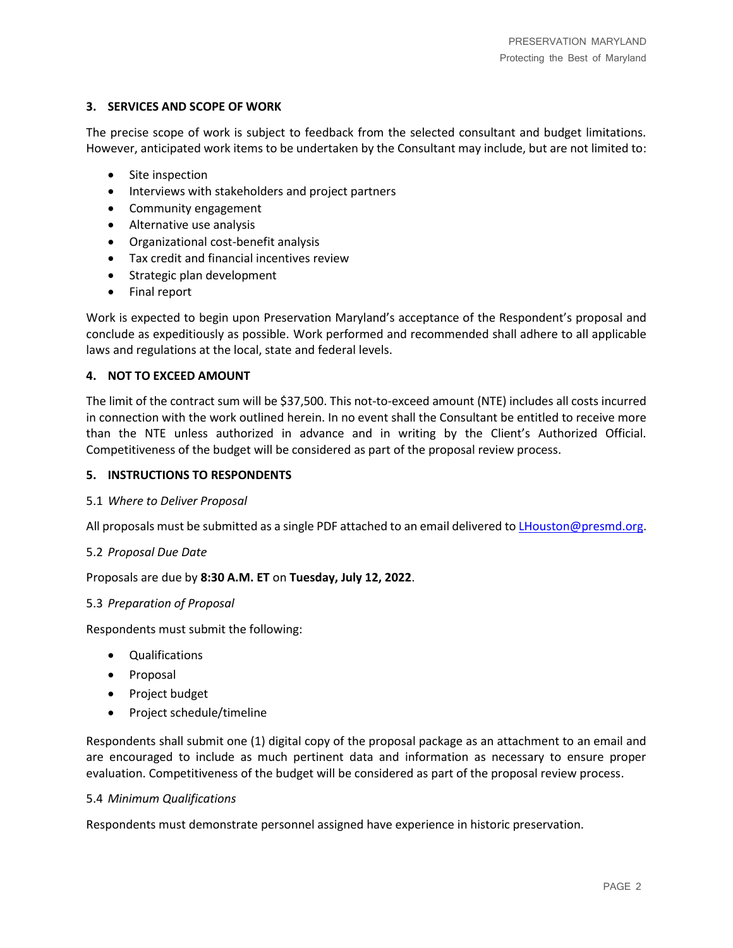# **3. SERVICES AND SCOPE OF WORK**

The precise scope of work is subject to feedback from the selected consultant and budget limitations. However, anticipated work items to be undertaken by the Consultant may include, but are not limited to:

- $\bullet$  Site inspection
- Interviews with stakeholders and project partners
- Community engagement
- Alternative use analysis
- Organizational cost-benefit analysis
- Tax credit and financial incentives review
- Strategic plan development
- Final report

Work is expected to begin upon Preservation Maryland's acceptance of the Respondent's proposal and conclude as expeditiously as possible. Work performed and recommended shall adhere to all applicable laws and regulations at the local, state and federal levels.

## **4. NOT TO EXCEED AMOUNT**

The limit of the contract sum will be \$37,500. This not-to-exceed amount (NTE) includes all costs incurred in connection with the work outlined herein. In no event shall the Consultant be entitled to receive more than the NTE unless authorized in advance and in writing by the Client's Authorized Official. Competitiveness of the budget will be considered as part of the proposal review process.

#### **5. INSTRUCTIONS TO RESPONDENTS**

#### 5.1 *Where to Deliver Proposal*

All proposals must be submitted as a single PDF attached to an email delivered to LHouston@presmd.org.

#### 5.2 *Proposal Due Date*

Proposals are due by **8:30 A.M. ET** on **Tuesday, July 12, 2022**.

#### 5.3 *Preparation of Proposal*

Respondents must submit the following:

- Qualifications
- Proposal
- Project budget
- Project schedule/timeline

Respondents shall submit one (1) digital copy of the proposal package as an attachment to an email and are encouraged to include as much pertinent data and information as necessary to ensure proper evaluation. Competitiveness of the budget will be considered as part of the proposal review process.

#### 5.4 *Minimum Qualifications*

Respondents must demonstrate personnel assigned have experience in historic preservation.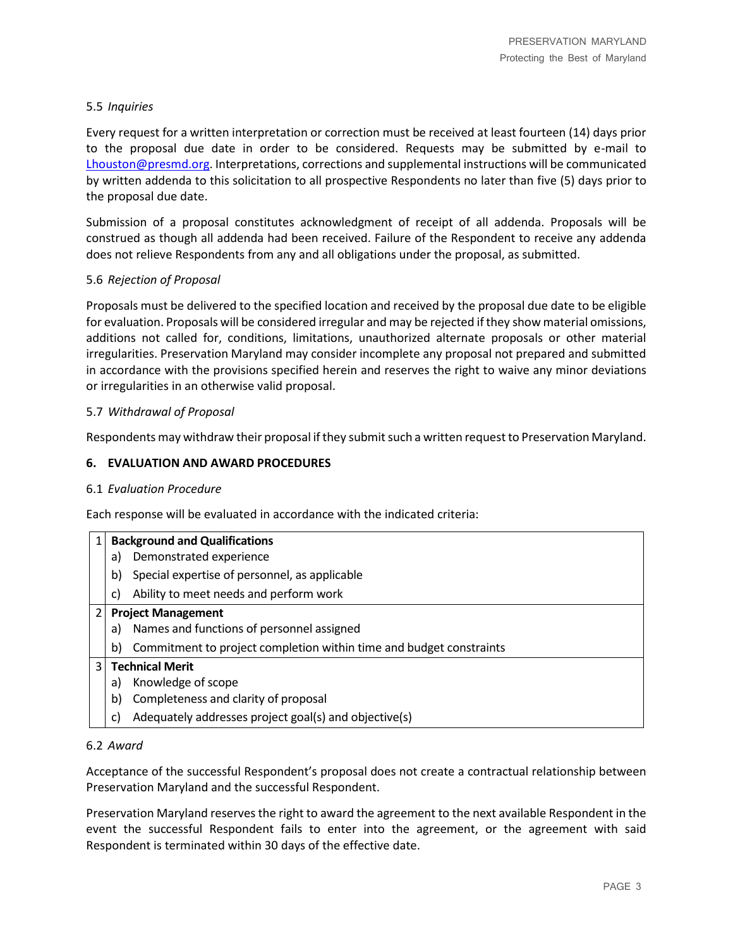# 5.5 *Inquiries*

Every request for a written interpretation or correction must be received at least fourteen (14) days prior to the proposal due date in order to be considered. Requests may be submitted by e-mail to Lhouston@presmd.org. Interpretations, corrections and supplemental instructions will be communicated by written addenda to this solicitation to all prospective Respondents no later than five (5) days prior to the proposal due date.

Submission of a proposal constitutes acknowledgment of receipt of all addenda. Proposals will be construed as though all addenda had been received. Failure of the Respondent to receive any addenda does not relieve Respondents from any and all obligations under the proposal, as submitted.

## 5.6 *Rejection of Proposal*

Proposals must be delivered to the specified location and received by the proposal due date to be eligible for evaluation. Proposals will be considered irregular and may be rejected if they show material omissions, additions not called for, conditions, limitations, unauthorized alternate proposals or other material irregularities. Preservation Maryland may consider incomplete any proposal not prepared and submitted in accordance with the provisions specified herein and reserves the right to waive any minor deviations or irregularities in an otherwise valid proposal.

### 5.7 *Withdrawal of Proposal*

Respondents may withdraw their proposal if they submit such a written request to Preservation Maryland.

## **6. EVALUATION AND AWARD PROCEDURES**

#### 6.1 *Evaluation Procedure*

Each response will be evaluated in accordance with the indicated criteria:

| 1 | <b>Background and Qualifications</b> |                                                                     |  |
|---|--------------------------------------|---------------------------------------------------------------------|--|
|   | a)                                   | Demonstrated experience                                             |  |
|   | b)                                   | Special expertise of personnel, as applicable                       |  |
|   | C)                                   | Ability to meet needs and perform work                              |  |
|   | <b>Project Management</b>            |                                                                     |  |
|   | a)                                   | Names and functions of personnel assigned                           |  |
|   | b)                                   | Commitment to project completion within time and budget constraints |  |
| 3 |                                      | <b>Technical Merit</b>                                              |  |
|   | a)                                   | Knowledge of scope                                                  |  |
|   | b)                                   | Completeness and clarity of proposal                                |  |
|   | C)                                   | Adequately addresses project goal(s) and objective(s)               |  |

#### 6.2 *Award*

Acceptance of the successful Respondent's proposal does not create a contractual relationship between Preservation Maryland and the successful Respondent.

Preservation Maryland reserves the right to award the agreement to the next available Respondent in the event the successful Respondent fails to enter into the agreement, or the agreement with said Respondent is terminated within 30 days of the effective date.